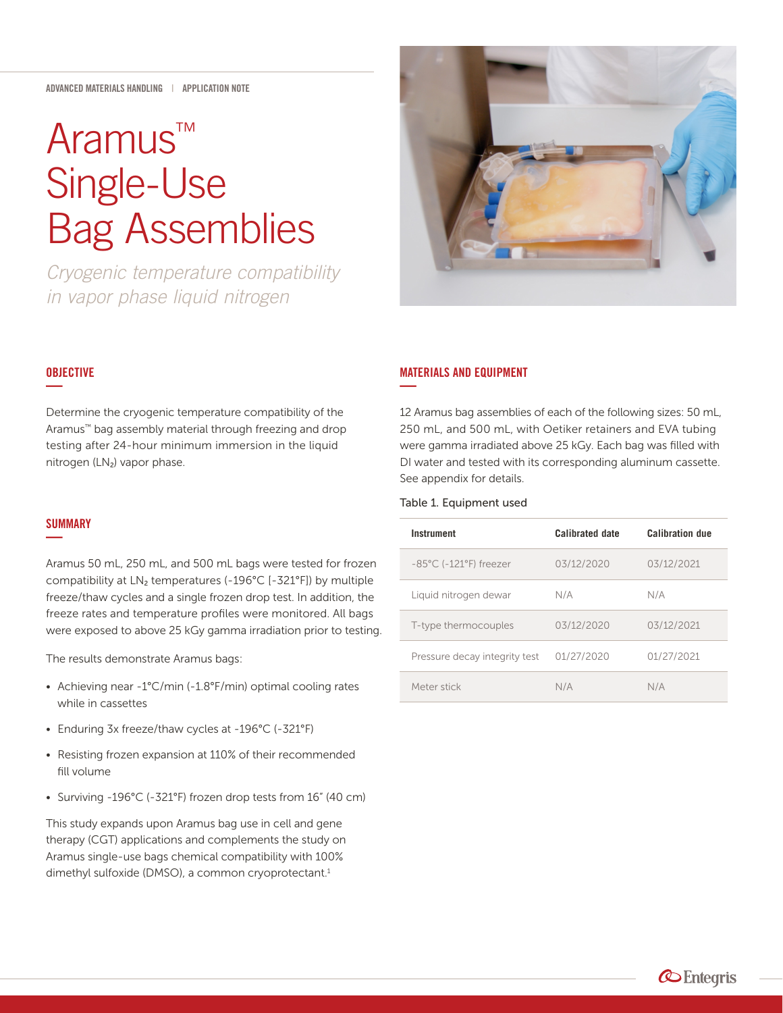# Aramus™ Single-Use Bag Assemblies

*Cryogenic temperature compatibility in vapor phase liquid nitrogen*



# **OBJECTIVE —**

Determine the cryogenic temperature compatibility of the Aramus™ bag assembly material through freezing and drop testing after 24-hour minimum immersion in the liquid nitrogen (LN2) vapor phase.

## **SUMMARY —**

Aramus 50 mL, 250 mL, and 500 mL bags were tested for frozen compatibility at LN<sub>2</sub> temperatures (-196°C [-321°F]) by multiple freeze/thaw cycles and a single frozen drop test. In addition, the freeze rates and temperature profiles were monitored. All bags were exposed to above 25 kGy gamma irradiation prior to testing.

The results demonstrate Aramus bags:

- Achieving near -1°C/min (-1.8°F/min) optimal cooling rates while in cassettes
- Enduring 3x freeze/thaw cycles at -196°C (-321°F)
- Resisting frozen expansion at 110% of their recommended fill volume
- Surviving -196°C (-321°F) frozen drop tests from 16" (40 cm)

This study expands upon Aramus bag use in cell and gene therapy (CGT) applications and complements the study on Aramus single-use bags chemical compatibility with 100% dimethyl sulfoxide (DMSO), a common cryoprotectant.<sup>1</sup>

# MATERIALS AND EQUIPMENT **—**

12 Aramus bag assemblies of each of the following sizes: 50 mL, 250 mL, and 500 mL, with Oetiker retainers and EVA tubing were gamma irradiated above 25 kGy. Each bag was filled with DI water and tested with its corresponding aluminum cassette. See appendix for details.

#### Table 1. Equipment used

| <b>Instrument</b>                           | <b>Calibrated date</b> | <b>Calibration due</b> |
|---------------------------------------------|------------------------|------------------------|
| $-85^{\circ}$ C (-121 $^{\circ}$ F) freezer | 03/12/2020             | 03/12/2021             |
| Liquid nitrogen dewar                       | N/A                    | N/A                    |
| T-type thermocouples                        | 03/12/2020             | 03/12/2021             |
| Pressure decay integrity test               | 01/27/2020             | 01/27/2021             |
| Meter stick                                 | N/A                    | N/A                    |

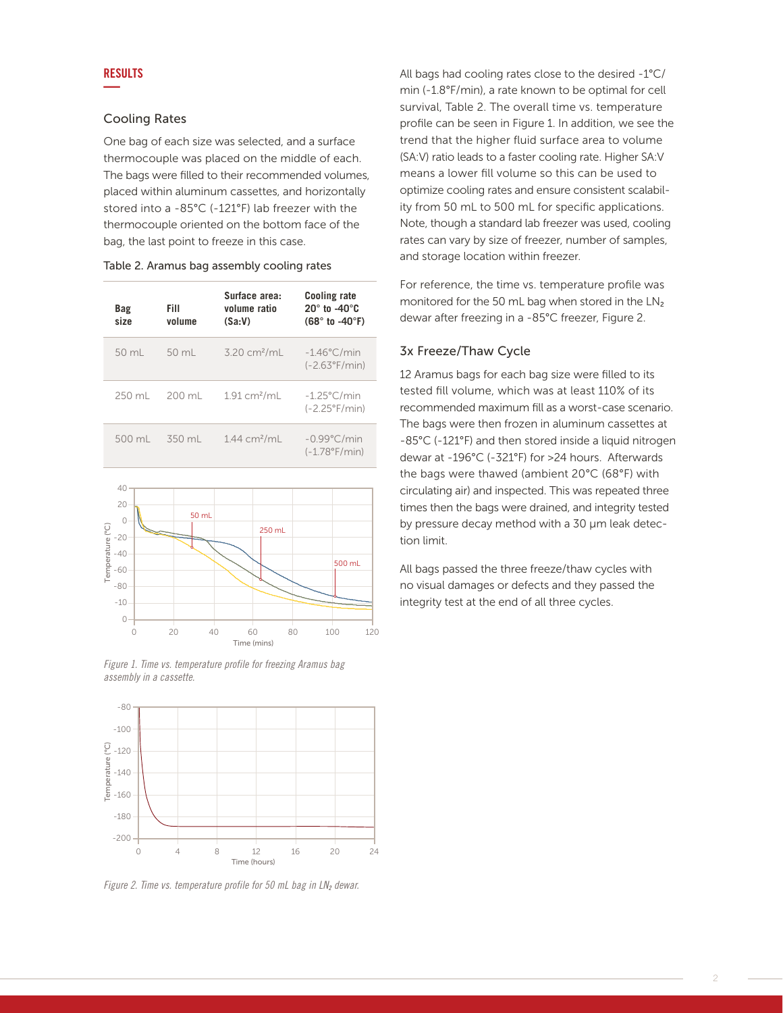### RESULTS **—**

## Cooling Rates

One bag of each size was selected, and a surface thermocouple was placed on the middle of each. The bags were filled to their recommended volumes, placed within aluminum cassettes, and horizontally stored into a -85°C (-121°F) lab freezer with the thermocouple oriented on the bottom face of the bag, the last point to freeze in this case.

| Table 2. Aramus bag assembly cooling rates |  |  |  |
|--------------------------------------------|--|--|--|
|--------------------------------------------|--|--|--|

| Bag<br>size      | Fill<br>volume   | Surface area:<br>volume ratio<br>(Sa:V) | <b>Cooling rate</b><br>$20^\circ$ to -40 $^\circ$ C<br>$(68° to -40°F)$ |
|------------------|------------------|-----------------------------------------|-------------------------------------------------------------------------|
| $50 \text{ ml}$  | $50 \mathrm{ml}$ | $3.20$ cm <sup>2</sup> /mL              | $-1.46^{\circ}$ C/min<br>$(-2.63^{\circ}F/min)$                         |
| 250 ml           | $200 \mathrm{m}$ | $1.91$ cm <sup>2</sup> /mL              | $-1.25^{\circ}$ C/min<br>$(-2.25^{\circ}F/min)$                         |
| $500 \text{ ml}$ | 350 ml           | $1.44$ cm <sup>2</sup> /mL              | $-0.99^{\circ}$ C/min<br>$(-1.78^{\circ}F/min)$                         |



*Figure 1. Time vs. temperature profile for freezing Aramus bag assembly in a cassette.*



*Figure 2. Time vs. temperature profile for 50 mL bag in LN2 dewar.*

All bags had cooling rates close to the desired -1°C/ min (-1.8°F/min), a rate known to be optimal for cell survival, Table 2. The overall time vs. temperature profile can be seen in Figure 1. In addition, we see the trend that the higher fluid surface area to volume (SA:V) ratio leads to a faster cooling rate. Higher SA:V means a lower fill volume so this can be used to optimize cooling rates and ensure consistent scalability from 50 mL to 500 mL for specific applications. Note, though a standard lab freezer was used, cooling rates can vary by size of freezer, number of samples, and storage location within freezer.

For reference, the time vs. temperature profile was monitored for the 50 mL bag when stored in the  $LN<sub>2</sub>$ dewar after freezing in a -85°C freezer, Figure 2.

## 3x Freeze/Thaw Cycle

12 Aramus bags for each bag size were filled to its tested fill volume, which was at least 110% of its recommended maximum fill as a worst-case scenario. The bags were then frozen in aluminum cassettes at -85°C (-121°F) and then stored inside a liquid nitrogen dewar at -196°C (-321°F) for >24 hours. Afterwards the bags were thawed (ambient 20°C (68°F) with circulating air) and inspected. This was repeated three times then the bags were drained, and integrity tested by pressure decay method with a 30 µm leak detection limit.

All bags passed the three freeze/thaw cycles with no visual damages or defects and they passed the integrity test at the end of all three cycles.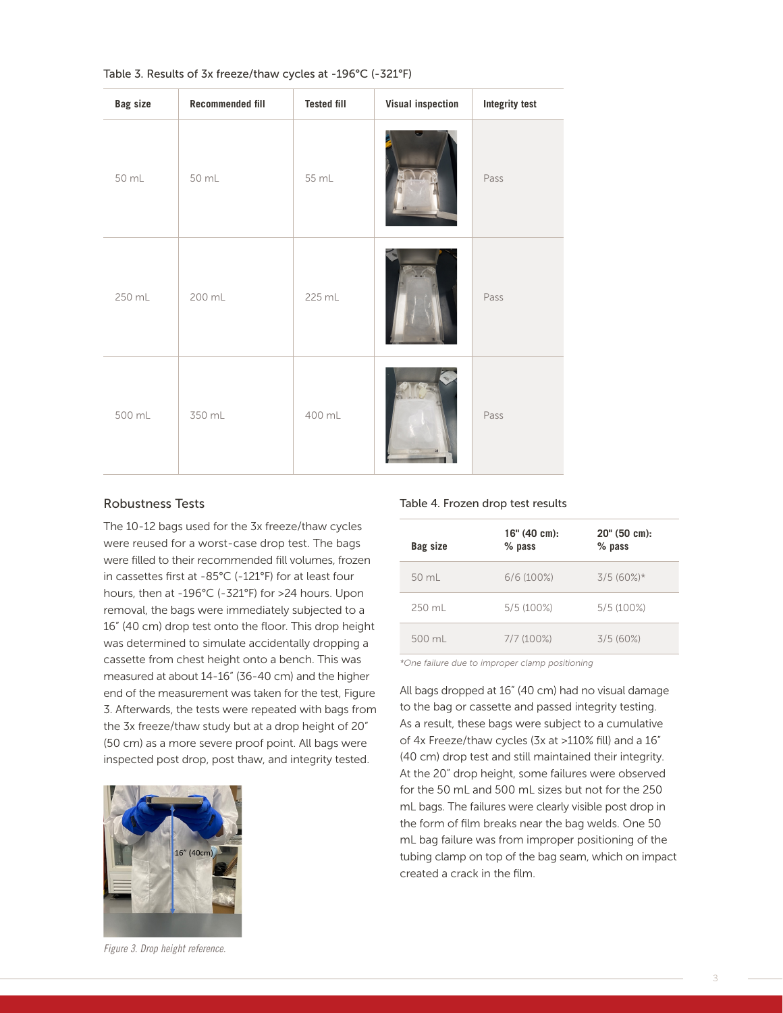| Bag size | <b>Recommended fill</b> | <b>Tested fill</b> | <b>Visual inspection</b> | <b>Integrity test</b> |
|----------|-------------------------|--------------------|--------------------------|-----------------------|
| 50 mL    | 50 mL                   | 55 mL              | ÷.                       | Pass                  |
| 250 mL   | 200 mL                  | 225 mL             |                          | Pass                  |
| 500 mL   | 350 mL                  | 400 mL             |                          | Pass                  |

#### Table 3. Results of 3x freeze/thaw cycles at -196°C (-321°F)

#### Robustness Tests

The 10-12 bags used for the 3x freeze/thaw cycles were reused for a worst-case drop test. The bags were filled to their recommended fill volumes, frozen in cassettes first at -85°C (-121°F) for at least four hours, then at -196°C (-321°F) for >24 hours. Upon removal, the bags were immediately subjected to a 16" (40 cm) drop test onto the floor. This drop height was determined to simulate accidentally dropping a cassette from chest height onto a bench. This was measured at about 14-16" (36-40 cm) and the higher end of the measurement was taken for the test, Figure 3. Afterwards, the tests were repeated with bags from the 3x freeze/thaw study but at a drop height of 20" (50 cm) as a more severe proof point. All bags were inspected post drop, post thaw, and integrity tested.



*Figure 3. Drop height reference.*

#### Table 4. Frozen drop test results

| Bag size         | 16" (40 cm):<br>$%$ pass | 20" (50 cm):<br>$%$ pass |
|------------------|--------------------------|--------------------------|
| $50 \mathrm{ml}$ | 6/6(100%)                | $3/5(60\%)*$             |
| 250 mL           | $5/5(100\%)$             | $5/5(100\%)$             |
| 500 mL           | $7/7(100\%)$             | 3/5(60%)                 |
|                  |                          |                          |

*\*One failure due to improper clamp positioning*

All bags dropped at 16" (40 cm) had no visual damage to the bag or cassette and passed integrity testing. As a result, these bags were subject to a cumulative of 4x Freeze/thaw cycles (3x at >110% fill) and a 16" (40 cm) drop test and still maintained their integrity. At the 20" drop height, some failures were observed for the 50 mL and 500 mL sizes but not for the 250 mL bags. The failures were clearly visible post drop in the form of film breaks near the bag welds. One 50 mL bag failure was from improper positioning of the tubing clamp on top of the bag seam, which on impact created a crack in the film.